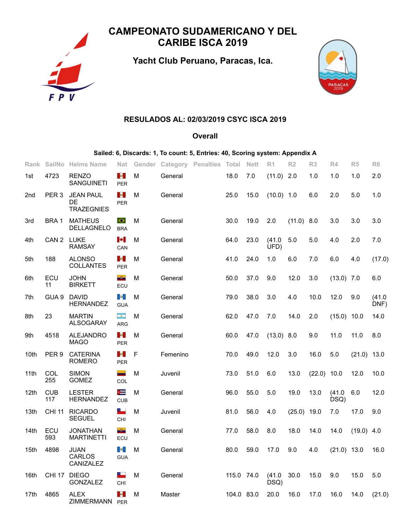

# **CAMPEONATO SUDAMERICANO Y DEL CARIBE ISCA 2019**

**Yacht Club Peruano, Paracas, Ica.**



## **RESULADOS AL: 02/03/2019 CSYC ISCA 2019**

#### **Overall**

### **Sailed: 6, Discards: 1, To count: 5, Entries: 40, Scoring system: Appendix A**

| Rank |                   | SailNo Helms Name                           | <b>Nat</b>                             |   |          | Gender Category Penalties Total |            | <b>Nett</b> | R <sub>1</sub> | R <sub>2</sub> | R3     | R4             | R <sub>5</sub> | R <sub>6</sub> |
|------|-------------------|---------------------------------------------|----------------------------------------|---|----------|---------------------------------|------------|-------------|----------------|----------------|--------|----------------|----------------|----------------|
| 1st  | 4723              | <b>RENZO</b><br><b>SANGUINETI</b>           | <b>Sec.</b><br><b>PER</b>              | М | General  |                                 | 18.0       | 7.0         | $(11.0)$ 2.0   |                | 1.0    | 1.0            | 1.0            | 2.0            |
| 2nd  | PER <sub>3</sub>  | <b>JEAN PAUL</b><br>DE<br><b>TRAZEGNIES</b> | $\mathcal{M}_\mathrm{c}$<br><b>PER</b> | M | General  |                                 | 25.0       | 15.0        | $(10.0)$ 1.0   |                | 6.0    | 2.0            | 5.0            | 1.0            |
| 3rd  | BRA 1             | <b>MATHEUS</b><br>DELLAGNELO                | $\bullet$<br><b>BRA</b>                | M | General  |                                 | 30.0       | 19.0        | 2.0            | (11.0)         | 8.0    | 3.0            | 3.0            | 3.0            |
| 4th  | CAN <sub>2</sub>  | <b>LUKE</b><br><b>RAMSAY</b>                | Ŀ.<br>CAN                              | M | General  |                                 | 64.0       | 23.0        | (41.0)<br>UFD) | 5.0            | 5.0    | 4.0            | 2.0            | 7.0            |
| 5th  | 188               | <b>ALONSO</b><br><b>COLLANTES</b>           | <b>Sec</b><br><b>PER</b>               | M | General  |                                 | 41.0       | 24.0        | 1.0            | 6.0            | 7.0    | 6.0            | 4.0            | (17.0)         |
| 6th  | ECU<br>11         | <b>JOHN</b><br><b>BIRKETT</b>               | aða.<br>ECU                            | M | General  |                                 | 50.0       | 37.0        | 9.0            | 12.0           | 3.0    | $(13.0)$ 7.0   |                | 6.0            |
| 7th  | GUA <sub>9</sub>  | <b>DAVID</b><br><b>HERNANDEZ</b>            | $\bullet$<br><b>GUA</b>                | M | General  |                                 | 79.0       | 38.0        | 3.0            | 4.0            | 10.0   | 12.0           | 9.0            | (41.0)<br>DNF) |
| 8th  | 23                | <b>MARTIN</b><br><b>ALSOGARAY</b>           | men.<br><b>ARG</b>                     | M | General  |                                 | 62.0       | 47.0        | 7.0            | 14.0           | 2.0    | (15.0)         | 10.0           | 14.0           |
| 9th  | 4518              | <b>ALEJANDRO</b><br><b>MAGO</b>             | <b>Sec</b><br><b>PER</b>               | M | General  |                                 | 60.0       | 47.0        | (13.0)         | 8.0            | 9.0    | 11.0           | 11.0           | 8.0            |
| 10th | PER <sub>9</sub>  | <b>CATERINA</b><br><b>ROMERO</b>            | $\mathcal{A}$<br><b>PER</b>            | F | Femenino |                                 | 70.0       | 49.0        | 12.0           | 3.0            | 16.0   | 5.0            | (21.0)         | 13.0           |
| 11th | COL<br>255        | <b>SIMON</b><br><b>GOMEZ</b>                | -<br>COL                               | М | Juvenil  |                                 | 73.0       | 51.0        | 6.0            | 13.0           | (22.0) | 10.0           | 12.0           | 10.0           |
| 12th | <b>CUB</b><br>117 | <b>LESTER</b><br><b>HERNANDEZ</b>           | ⊫<br><b>CUB</b>                        | M | General  |                                 | 96.0       | 55.0        | 5.0            | 19.0           | 13.0   | (41.0)<br>DSQ) | 6.0            | 12.0           |
| 13th | <b>CHI 11</b>     | <b>RICARDO</b><br><b>SEGUEL</b>             | كا<br>CHI                              | M | Juvenil  |                                 | 81.0       | 56.0        | 4.0            | (25.0)         | 19.0   | 7.0            | 17.0           | 9.0            |
| 14th | ECU<br>593        | <b>JONATHAN</b><br><b>MARTINETTI</b>        | aða.<br>ECU                            | M | General  |                                 | 77.0       | 58.0        | 8.0            | 18.0           | 14.0   | 14.0           | $(19.0)$ 4.0   |                |
| 15th | 4898              | <b>JUAN</b><br>CARLOS<br>CANIZALEZ          | lios, i<br><b>GUA</b>                  | M | General  |                                 | 80.0       | 59.0        | 17.0           | 9.0            | 4.0    | $(21.0)$ 13.0  |                | 16.0           |
| 16th | <b>CHI 17</b>     | <b>DIEGO</b><br><b>GONZALEZ</b>             | a.,<br>CHI                             | M | General  |                                 | 115.0 74.0 |             | (41.0)<br>DSQ) | 30.0           | 15.0   | 9.0            | 15.0           | 5.0            |
| 17th | 4865              | <b>ALEX</b><br>ZIMMERMANN                   | l e l<br>PER                           | М | Master   |                                 | 104.0 83.0 |             | 20.0           | 16.0           | 17.0   | 16.0           | 14.0           | (21.0)         |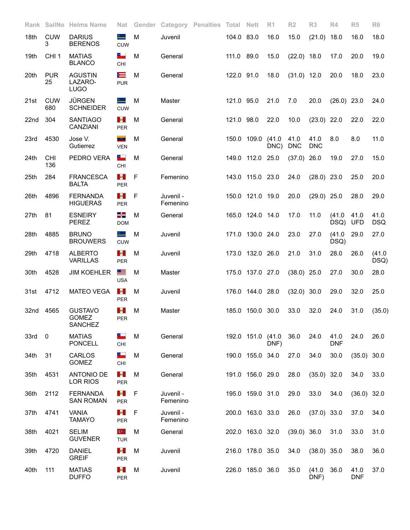| Rank |                   | SailNo Helms Name                                | Nat                                       |   | Gender Category Penalties Total Nett |            |                   | R <sub>1</sub> | R <sub>2</sub>     | R3                 | R4                 | R <sub>5</sub>     | R <sub>6</sub>     |
|------|-------------------|--------------------------------------------------|-------------------------------------------|---|--------------------------------------|------------|-------------------|----------------|--------------------|--------------------|--------------------|--------------------|--------------------|
| 18th | <b>CUW</b><br>3   | <b>DARIUS</b><br><b>BERENOS</b>                  | ∸<br><b>CUW</b>                           | M | Juvenil                              | 104.0 83.0 |                   | 16.0           | 15.0               | (21.0)             | 18.0               | 16.0               | 18.0               |
| 19th | CHI <sub>1</sub>  | <b>MATIAS</b><br><b>BLANCO</b>                   | ۰.<br>CHI                                 | M | General                              | 111.0 89.0 |                   | 15.0           | $(22.0)$ 18.0      |                    | 17.0               | 20.0               | 19.0               |
| 20th | <b>PUR</b><br>25  | <b>AGUSTIN</b><br>LAZARO-<br><b>LUGO</b>         | $\equiv$<br><b>PUR</b>                    | M | General                              | 122.0 91.0 |                   | 18.0           | $(31.0)$ 12.0      |                    | 20.0               | 18.0               | 23.0               |
| 21st | <b>CUW</b><br>680 | <b>JÜRGEN</b><br><b>SCHNEIDER</b>                | ∸<br><b>CUW</b>                           | M | Master                               | 121.0 95.0 |                   | 21.0           | 7.0                | 20.0               | $(26.0)$ 23.0      |                    | 24.0               |
| 22nd | 304               | <b>SANTIAGO</b><br>CANZIANI                      | <b>Sec.</b><br><b>PER</b>                 | M | General                              | 121.0 98.0 |                   | 22.0           | 10.0               | (23.0)             | 22.0               | 22.0               | 22.0               |
| 23rd | 4530              | Jose V.<br>Gutierrez                             | <b>Brazil</b><br><b>VEN</b>               | M | General                              |            | 150.0 109.0       | (41.0)<br>DNC) | 41.0<br><b>DNC</b> | 41.0<br><b>DNC</b> | 8.0                | 8.0                | 11.0               |
| 24th | <b>CHI</b><br>136 | PEDRO VERA                                       | سالا<br>CHI                               | M | General                              |            | 149.0 112.0 25.0  |                | (37.0)             | 26.0               | 19.0               | 27.0               | 15.0               |
| 25th | 284               | <b>FRANCESCA</b><br><b>BALTA</b>                 | $\mathcal{M}_\mathrm{c}$<br><b>PER</b>    | F | Femenino                             |            | 143.0 115.0 23.0  |                | 24.0               | $(28.0)$ 23.0      |                    | 25.0               | 20.0               |
| 26th | 4896              | <b>FERNANDA</b><br><b>HIGUERAS</b>               | M.<br><b>PER</b>                          | F | Juvenil -<br>Femenino                |            | 150.0 121.0 19.0  |                | 20.0               | $(29.0)$ 25.0      |                    | 28.0               | 29.0               |
| 27th | 81                | <b>ESNEIRY</b><br><b>PEREZ</b>                   | -5<br><b>DOM</b>                          | M | General                              |            | 165.0 124.0 14.0  |                | 17.0               | 11.0               | (41.0)<br>DSQ)     | 41.0<br><b>UFD</b> | 41.0<br><b>DSQ</b> |
| 28th | 4885              | <b>BRUNO</b><br><b>BROUWERS</b>                  | ∸<br><b>CUW</b>                           | M | Juvenil                              |            | 171.0 130.0 24.0  |                | 23.0               | 27.0               | (41.0)<br>DSQ)     | 29.0               | 27.0               |
| 29th | 4718              | <b>ALBERTO</b><br><b>VARILLAS</b>                | <b>SALE</b><br>PER                        | M | Juvenil                              |            | 173.0 132.0 26.0  |                | 21.0               | 31.0               | 28.0               | 26.0               | (41.0)<br>DSQ)     |
| 30th | 4528              | <b>JIM KOEHLER</b>                               | 트<br><b>USA</b>                           | M | Master                               |            | 175.0 137.0 27.0  |                | $(38.0)$ 25.0      |                    | 27.0               | 30.0               | 28.0               |
| 31st | 4712              | <b>MATEO VEGA</b>                                | $\langle \Phi \rangle$<br>PER             | M | Juvenil                              |            | 176.0 144.0 28.0  |                | $(32.0)$ 30.0      |                    | 29.0               | 32.0               | 25.0               |
| 32nd | 4565              | <b>GUSTAVO</b><br><b>GOMEZ</b><br><b>SANCHEZ</b> | M.<br>PER                                 | M | Master                               |            | 185.0 150.0 30.0  |                | 33.0               | 32.0               | 24.0               | 31.0               | (35.0)             |
| 33rd | $\mathbf 0$       | <b>MATIAS</b><br><b>PONCELL</b>                  | ۳.<br>CHI                                 | M | General                              |            | 192.0 151.0 (41.0 | DNF)           | 36.0               | 24.0               | 41.0<br><b>DNF</b> | 24.0               | 26.0               |
| 34th | 31                | CARLOS<br>GOMEZ                                  | ۰.<br>CHI                                 | M | General                              |            | 190.0 155.0 34.0  |                | 27.0               | 34.0               | 30.0               | $(35.0)$ 30.0      |                    |
| 35th | 4531              | <b>ANTONIO DE</b><br>LOR RIOS                    | $\langle \Phi \rangle$<br>PER             | M | General                              |            | 191.0 156.0 29.0  |                | 28.0               | $(35.0)$ 32.0      |                    | 34.0               | 33.0               |
| 36th | 2112              | <b>FERNANDA</b><br><b>SAN ROMAN</b>              | $\langle \Phi \rangle$<br>PER             | F | Juvenil -<br>Femenino                |            | 195.0 159.0 31.0  |                | 29.0               | 33.0               | 34.0               | $(36.0)$ 32.0      |                    |
| 37th | 4741              | <b>VANIA</b><br><b>TAMAYO</b>                    | $\langle \Phi \rangle$<br><b>PER</b>      | F | Juvenil -<br>Femenino                |            | 200.0 163.0 33.0  |                | 26.0               | $(37.0)$ 33.0      |                    | 37.0               | 34.0               |
| 38th | 4021              | <b>SELIM</b><br><b>GUVENER</b>                   | $\mathbf{C}^{\mathbf{c}}$ .<br><b>TUR</b> | M | General                              |            | 202.0 163.0 32.0  |                | $(39.0)$ 36.0      |                    | 31.0               | 33.0               | 31.0               |
| 39th | 4720              | <b>DANIEL</b><br><b>GREIF</b>                    | <b>Sec</b><br>PER                         | M | Juvenil                              |            | 216.0 178.0 35.0  |                | 34.0               | $(38.0)$ 35.0      |                    | 38.0               | 36.0               |
| 40th | 111               | <b>MATIAS</b><br><b>DUFFO</b>                    | $\mathcal{A}$<br>PER                      | M | Juvenil                              |            | 226.0 185.0 36.0  |                | 35.0               | (41.0)<br>DNF)     | 36.0               | 41.0<br><b>DNF</b> | 37.0               |